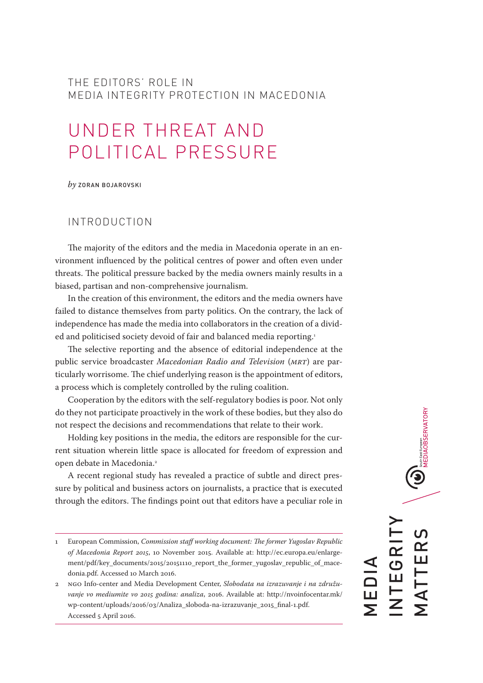## THE EDITORS' ROLE IN MEDIA INTEGRITY PROTECTION IN MACEDONIA

# UNDER THREAT AND POLITICAL PRESSURE

*by* ZORAN BOJAROVSKI

## INTRODUCTION

The majority of the editors and the media in Macedonia operate in an environment influenced by the political centres of power and often even under threats. The political pressure backed by the media owners mainly results in a biased, partisan and non-comprehensive journalism.

In the creation of this environment, the editors and the media owners have failed to distance themselves from party politics. On the contrary, the lack of independence has made the media into collaborators in the creation of a divided and politicised society devoid of fair and balanced media reporting.<sup>1</sup>

The selective reporting and the absence of editorial independence at the public service broadcaster *Macedonian Radio and Television* (*MRT*) are particularly worrisome. The chief underlying reason is the appointment of editors, a process which is completely controlled by the ruling coalition.

Cooperation by the editors with the self-regulatory bodies is poor. Not only do they not participate proactively in the work of these bodies, but they also do not respect the decisions and recommendations that relate to their work.

Holding key positions in the media, the editors are responsible for the current situation wherein little space is allocated for freedom of expression and open debate in Macedonia.<sup>2</sup>

A recent regional study has revealed a practice of subtle and direct pressure by political and business actors on journalists, a practice that is executed through the editors. Тhe findings point out that editors have a peculiar role in

 $\bigcirc$  MEDIAOBSERVATORY INTEGRITY MATTERS MATTER NTEGRI MEDIA

<sup>1</sup> European Commission, *Commission staff working document: The former Yugoslav Republic of Macedonia Report 2015*, 10 November 2015. Available at: [http://ec.europa.eu/enlarge](http://ec.europa.eu/enlargement/pdf/key_documents/2015/20151110_report_the_former_yugoslav_republic_of_macedonia.pdf)[ment/pdf/key\\_documents/2015/20151110\\_report\\_the\\_former\\_yugoslav\\_republic\\_of\\_mace](http://ec.europa.eu/enlargement/pdf/key_documents/2015/20151110_report_the_former_yugoslav_republic_of_macedonia.pdf)[donia.pdf.](http://ec.europa.eu/enlargement/pdf/key_documents/2015/20151110_report_the_former_yugoslav_republic_of_macedonia.pdf) Accessed 10 March 2016.

<sup>2</sup> NGO Info-center and Media Development Center, *Slobodata na izrazuvanje i na združuvanje vo mediumite vo 2015 godina: analiza*, 2016. Available at: [http://nvoinfocentar.mk/](http://nvoinfocentar.mk/wp-content/uploads/2016/03/Analiza_sloboda-na-izrazuvanje_2015_final-1.pdf) [wp-content/uploads/2016/03/Analiza\\_sloboda-na-izrazuvanje\\_2015\\_final-1.pdf.](http://nvoinfocentar.mk/wp-content/uploads/2016/03/Analiza_sloboda-na-izrazuvanje_2015_final-1.pdf) Accessed 5 April 2016.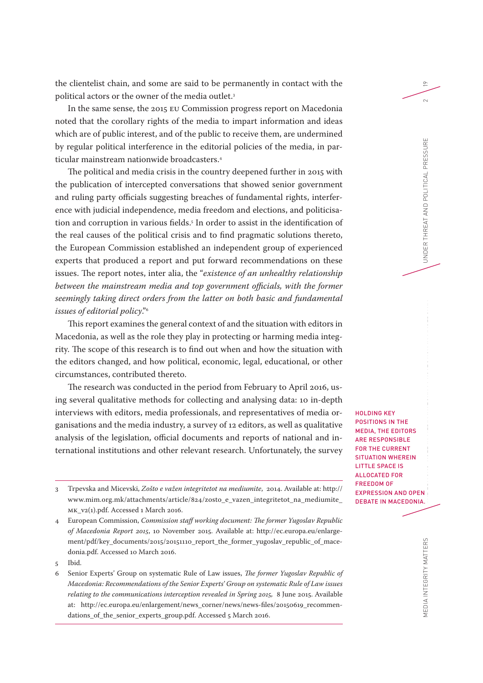the clientelist chain, and some are said to be permanently in contact with the political actors or the owner of the media outlet.<sup>3</sup>

In the same sense, the 2015 EU Commission progress report on Macedonia noted that the corollary rights of the media to impart information and ideas which are of public interest, and of the public to receive them, are undermined by regular political interference in the editorial policies of the media, in particular mainstream nationwide broadcasters.4

The political and media crisis in the country deepened further in 2015 with the publication of intercepted conversations that showed senior government and ruling party officials suggesting breaches of fundamental rights, interference with judicial independence, media freedom and elections, and politicisation and corruption in various fields.5 In order to assist in the identification of the real causes of the political crisis and to find pragmatic solutions thereto, the European Commission established an independent group of experienced experts that produced a report and put forward recommendations on these issues. The report notes, inter alia, the "*existence of an unhealthy relationship between the mainstream media and top government officials, with the former seemingly taking direct orders from the latter on both basic and fundamental issues of editorial policy*."6

This report examines the general context of and the situation with editors in Macedonia, as well as the role they play in protecting or harming media integrity. The scope of this research is to find out when and how the situation with the editors changed, and how political, economic, legal, educational, or other circumstances, contributed thereto.

The research was conducted in the period from February to April 2016, using several qualitative methods for collecting and analysing data: 10 in-depth interviews with editors, media professionals, and representatives of media organisations and the media industry, a survey of 12 editors, as well as qualitative analysis of the legislation, official documents and reports of national and international institutions and other relevant research. Unfortunately, the survey

3 Trpevska and Micevski, *Zošto e važen integritetot na mediumite*, 2014. Available at: [http://](http://www.mim.org.mk/attachments/article/824/zosto_e_vazen_integritetot_na_mediumite_MK_v2(1).pdf) [www.mim.org.mk/attachments/article/824/zosto\\_e\\_vazen\\_integritetot\\_na\\_mediumite\\_](http://www.mim.org.mk/attachments/article/824/zosto_e_vazen_integritetot_na_mediumite_MK_v2(1).pdf) [MK\\_v2\(1\).pdf.](http://www.mim.org.mk/attachments/article/824/zosto_e_vazen_integritetot_na_mediumite_MK_v2(1).pdf) Accessed 1 March 2016.

19

 $\sim$ 

HOLDING KEY POSITIONS IN THE MEDIA, THE EDITORS ARE RESPONSIBLE FOR THE CURRENT SITUATION WHEREIN LITTLE SPACE IS ALLOCATED FOR FREEDOM OF EXPRESSION AND OPEN DEBATE IN MACEDONIA.

<sup>4</sup> European Commission, *Commission staff working document: The former Yugoslav Republic of Macedonia Report 2015*, 10 November 2015. Available at: [http://ec.europa.eu/enlarge](http://ec.europa.eu/enlargement/pdf/key_documents/2015/20151110_report_the_former_yugoslav_republic_of_macedonia.pdf)[ment/pdf/key\\_documents/2015/20151110\\_report\\_the\\_former\\_yugoslav\\_republic\\_of\\_mace](http://ec.europa.eu/enlargement/pdf/key_documents/2015/20151110_report_the_former_yugoslav_republic_of_macedonia.pdf)[donia.pdf.](http://ec.europa.eu/enlargement/pdf/key_documents/2015/20151110_report_the_former_yugoslav_republic_of_macedonia.pdf) Accessed 10 March 2016.

<sup>5</sup> Ibid.

<sup>6</sup> Senior Experts' Group on systematic Rule of Law issues, *The former Yugoslav Republic of Macedonia: Recommendations of the Senior Experts' Group on systematic Rule of Law issues relating to the communications interception revealed in Spring 2015,* 8 June 2015. Available at: [http://ec.europa.eu/enlargement/news\\_corner/news/news-files/20150619\\_recommen](http://ec.europa.eu/enlargement/news_corner/news/news-files/20150619_recommendations_of_the_senior_experts_group.pdf)[dations\\_of\\_the\\_senior\\_experts\\_group.pdf.](http://ec.europa.eu/enlargement/news_corner/news/news-files/20150619_recommendations_of_the_senior_experts_group.pdf) Accessed 5 March 2016.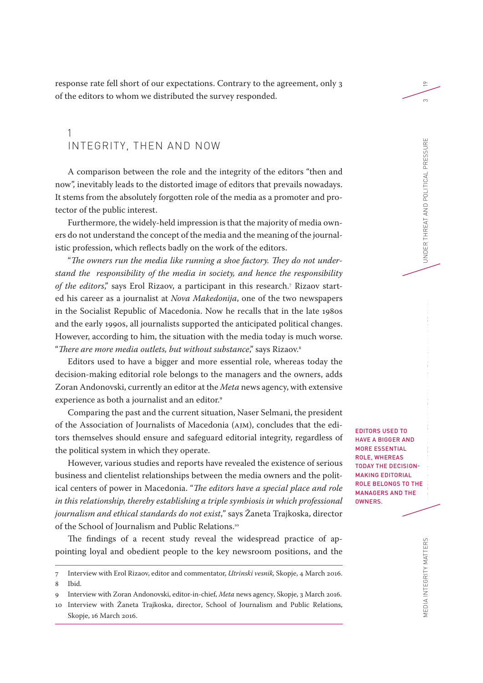response rate fell short of our expectations. Contrary to the agreement, only 3 of the editors to whom we distributed the survey responded.

## 1 INTEGRITY, THEN AND NOW

A comparison between the role and the integrity of the editors "then and now", inevitably leads to the distorted image of editors that prevails nowadays. It stems from the absolutely forgotten role of the media as a promoter and protector of the public interest.

Furthermore, the widely-held impression is that the majority of media owners do not understand the concept of the media and the meaning of the journalistic profession, which reflects badly on the work of the editors.

"*The owners run the media like running a shoe factory. They do not understand the responsibility of the media in society, and hence the responsibility of the editors*," says Erol Rizaov, a participant in this research.7 Rizaov started his career as a journalist at *Nova Makedonija*, one of the two newspapers in the Socialist Republic of Macedonia. Now he recalls that in the late 1980s and the early 1990s, all journalists supported the anticipated political changes. However, according to him, the situation with the media today is much worse. "*There are more media outlets, but without substance*," says Rizaov.8

Editors used to have a bigger and more essential role, whereas today the decision-making editorial role belongs to the managers and the owners, adds Zoran Andonovski, currently an editor at the *Meta* news agency, with extensive experience as both a journalist and an editor.<sup>9</sup>

Comparing the past and the current situation, Naser Selmani, the president of the Association of Journalists of Macedonia (AJM), concludes that the editors themselves should ensure and safeguard editorial integrity, regardless of the political system in which they operate.

However, various studies and reports have revealed the existence of serious business and clientelist relationships between the media owners and the political centers of power in Macedonia. "*The editors have a special place and role in this relationship, thereby establishing a triple symbiosis in which professional journalism and ethical standards do not exist*," says Žaneta Trajkoska, director of the School of Journalism and Public Relations.10

The findings of a recent study reveal the widespread practice of appointing loyal and obedient people to the key newsroom positions, and the EDITORS USED TO HAVE A BIGGER AND MORE ESSENTIAL ROLE, WHEREAS TODAY THE DECISION-MAKING EDITORIAL ROLE BELONGS TO THE MANAGERS AND THE OWNERS.

19

 $\infty$ 

<sup>7</sup> Interview with Erol Rizaov, editor and commentator, *Utrinski vesnik,* Skopje, 4 March 2016.

<sup>8</sup> Ibid.

<sup>9</sup> Interview with Zoran Andonovski, editor-in-chief, *Meta* news agency, Skopje, 3 March 2016.

<sup>10</sup> Interview with Žaneta Trajkoska, director, School of Journalism and Public Relations, Skopje, 16 March 2016.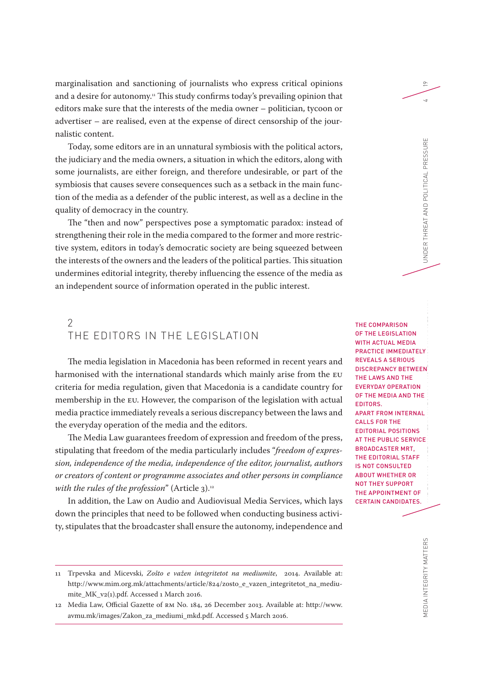marginalisation and sanctioning of journalists who express critical opinions and a desire for autonomy.<sup>11</sup> This study confirms today's prevailing opinion that editors make sure that the interests of the media owner – politician, tycoon or advertiser – are realised, even at the expense of direct censorship of the journalistic content.

Today, some editors are in an unnatural symbiosis with the political actors, the judiciary and the media owners, a situation in which the editors, along with some journalists, are either foreign, and therefore undesirable, or part of the symbiosis that causes severe consequences such as a setback in the main function of the media as a defender of the public interest, as well as a decline in the quality of democracy in the country.

The "then and now" perspectives pose a symptomatic paradox: instead of strengthening their role in the media compared to the former and more restrictive system, editors in today's democratic society are being squeezed between the interests of the owners and the leaders of the political parties. This situation undermines editorial integrity, thereby influencing the essence of the media as an independent source of information operated in the public interest.

## $\mathcal{P}$ THE EDITORS IN THE LEGISLATION

The media legislation in Macedonia has been reformed in recent years and harmonised with the international standards which mainly arise from the EU criteria for media regulation, given that Macedonia is a candidate country for membership in the EU. However, the comparison of the legislation with actual media practice immediately reveals a serious discrepancy between the laws and the everyday operation of the media and the editors.

The Media Law guarantees freedom of expression and freedom of the press, stipulating that freedom of the media particularly includes "*freedom of expression, independence of the media, independence of the editor, journalist, authors or creators of content or programme associates and other persons in compliance with the rules of the profession*" (Article 3).<sup>12</sup>

In addition, the Law on Audio and Audiovisual Media Services, which lays down the principles that need to be followed when conducting business activity, stipulates that the broadcaster shall ensure the autonomy, independence and

MEDIA INTEGRITY MATTERS<br>Media integrity matters THE COMPARISON OF THE LEGISLATION WITH ACTUAL MEDIA PRACTICE IMMEDIATELY REVEALS A SERIOUS DISCREPANCY BETWEEN THE LAWS AND THE EVERYDAY OPERATION OF THE MEDIA AND THE EDITORS. APART FROM INTERNAL CALLS FOR THE EDITORIAL POSITIONS AT THE PUBLIC SERVICE BROADCASTER MRT, THE EDITORIAL STAFF IS NOT CONSULTED ABOUT WHETHER OR NOT THEY SUPPORT THE APPOINTMENT OF CERTAIN CANDIDATES.

19

<sup>11</sup> Trpevska and Micevski, *Zošto e važen integritetot na mediumite*, 2014. Available at: [http://www.mim.org.mk/attachments/article/824/zosto\\_e\\_vazen\\_integritetot\\_na\\_mediu](http://www.mim.org.mk/attachments/article/824/zosto_e_vazen_integritetot_na_mediumite_MK_v2(1).pdf)[mite\\_MK\\_v2\(1\).pdf](http://www.mim.org.mk/attachments/article/824/zosto_e_vazen_integritetot_na_mediumite_MK_v2(1).pdf). Accessed 1 March 2016.

<sup>12</sup> Media Law, Official Gazette of RM No. 184, 26 December 2013. Available at: [http://www.](http://www.avmu.mk/images/Zakon_za_mediumi_mkd.pdf) [avmu.mk/images/Zakon\\_za\\_mediumi\\_mkd.pdf.](http://www.avmu.mk/images/Zakon_za_mediumi_mkd.pdf) Accessed 5 March 2016.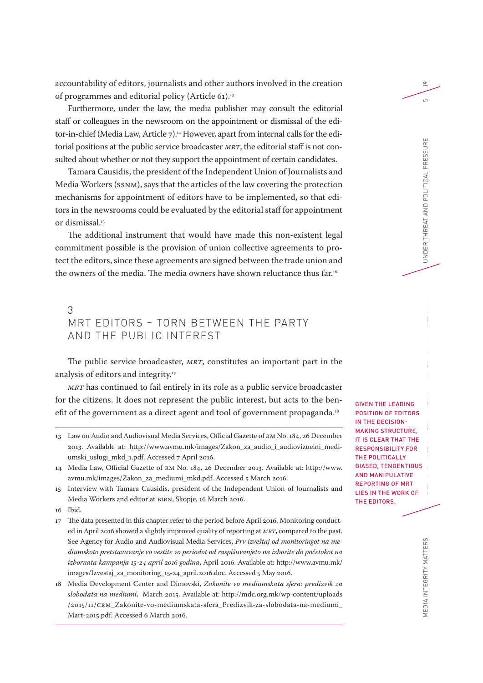accountability of editors, journalists and other authors involved in the creation of programmes and editorial policy (Article 61).13

Furthermore, under the law, the media publisher may consult the editorial staff or colleagues in the newsroom on the appointment or dismissal of the editor-in-chief (Media Law, Article 7).<sup>14</sup> However, apart from internal calls for the editorial positions at the public service broadcaster *MRT*, the editorial staff is not consulted about whether or not they support the appointment of certain candidates.

Tamara Causidis, the president of the Independent Union of Journalists and Media Workers (SSNM), says that the articles of the law covering the protection mechanisms for appointment of editors have to be implemented, so that editors in the newsrooms could be evaluated by the editorial staff for appointment or dismissal.<sup>15</sup>

The additional instrument that would have made this non-existent legal commitment possible is the provision of union collective agreements to protect the editors, since these agreements are signed between the trade union and the owners of the media. The media owners have shown reluctance thus far.<sup>16</sup>

## 3 MRT EDITORS – TORN BETWEEN THE PARTY AND THE PUBLIC INTEREST

The public service broadcaster, *MRT*, constitutes an important part in the analysis of editors and integrity.<sup>17</sup>

*MRT* has continued to fail entirely in its role as a public service broadcaster for the citizens. It does not represent the public interest, but acts to the benefit of the government as a direct agent and tool of government propaganda.<sup>18</sup>

13 Law on Audio and Audiovisual Media Services, Official Gazette of RM No. 184, 26 December 2013. Available at: [http://www.avmu.mk/images/Zakon\\_za\\_audio\\_i\\_audiovizuelni\\_medi](http://www.avmu.mk/images/Zakon_za_audio_i_audiovizuelni_mediumski_uslugi_mkd_1.pdf)[umski\\_uslugi\\_mkd\\_1.pdf.](http://www.avmu.mk/images/Zakon_za_audio_i_audiovizuelni_mediumski_uslugi_mkd_1.pdf) Accessed 7 April 2016.

- 17 The data presented in this chapter refer to the period before April 2016. Monitoring conducted in April 2016 showed a slightly improved quality of reporting at *MRT*, compared to the past. See Agency for Audio and Audiovisual Media Services, *Prv izveštaj od monitoringot na mediumskoto pretstavuvanje vo vestite vo periodot od raspišuvanjeto na izborite do početokot na izbornata kampanja 15-24 april 2016 godina*, April 2016. Available at: [http://www.avmu.mk/](http://www.avmu.mk/images/Izvestaj_za_monitoring_15-24_april.2016.doc) [images/Izvestaj\\_za\\_monitoring\\_15-24\\_april.2016.doc](http://www.avmu.mk/images/Izvestaj_za_monitoring_15-24_april.2016.doc). Accessed 5 May 2016.
- 18 Media Development Center and Dimovski, *Zakonite vo mediumskata sfera: predizvik za slobodata na mediumi,* March 2015. Available at: [http://mdc.org.mk/wp-content/uploads](http://mdc.org.mk/wp-content/uploads/2015/11/CRM_Zakonite-vo-mediumskata-sfera_Predizvik-za-slobodata-na-mediumi_Mart-2015.pdf) [/2015/11/CRM\\_Zakonite-vo-mediumskata-sfera\\_Predizvik-za-slobodata-na-mediumi\\_](http://mdc.org.mk/wp-content/uploads/2015/11/CRM_Zakonite-vo-mediumskata-sfera_Predizvik-za-slobodata-na-mediumi_Mart-2015.pdf) [Mart-2015.pdf.](http://mdc.org.mk/wp-content/uploads/2015/11/CRM_Zakonite-vo-mediumskata-sfera_Predizvik-za-slobodata-na-mediumi_Mart-2015.pdf) Accessed 6 March 2016.

GIVEN THE LEADING POSITION OF EDITORS IN THE DECISION-MAKING STRUCTURE, IT IS CLEAR THAT THE RESPONSIBILITY FOR THE POLITICALLY BIASED, TENDENTIOUS AND MANIPULATIVE REPORTING OF MRT LIES IN THE WORK OF THE EDITORS.

<sup>14</sup> Media Law, Official Gazette of RM No. 184, 26 December 2013. Available at: [http://www.](http://www.avmu.mk/images/Zakon_za_mediumi_mkd.pdf) [avmu.mk/images/Zakon\\_za\\_mediumi\\_mkd.pdf.](http://www.avmu.mk/images/Zakon_za_mediumi_mkd.pdf) Accessed 5 March 2016.

<sup>15</sup> Interview with Tamara Causidis, president of the Independent Union of Journalists and Media Workers and editor at BIRN, Skopje, 16 March 2016.

<sup>16</sup> Ibid.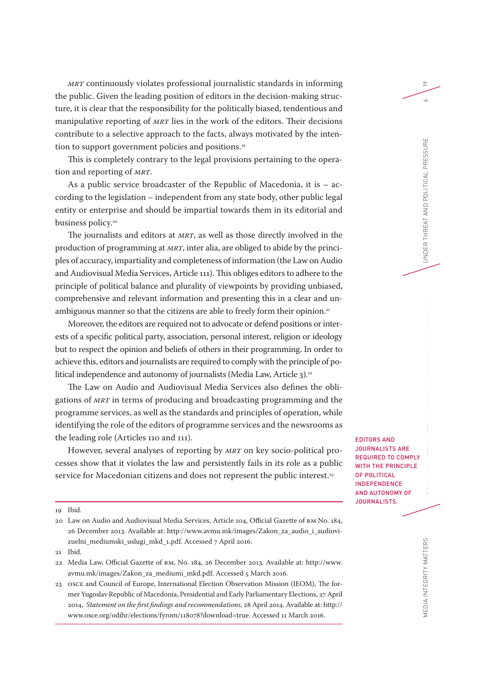*MRT* continuously violates professional journalistic standards in informing the public. Given the leading position of editors in the decision-making structure, it is clear that the responsibility for the politically biased, tendentious and manipulative reporting of *MRT* lies in the work of the editors. Their decisions contribute to a selective approach to the facts, always motivated by the intention to support government policies and positions.<sup>19</sup>

This is completely contrary to the legal provisions pertaining to the operation and reporting of *MRT*.

As a public service broadcaster of the Republic of Macedonia, it is – according to the legislation – independent from any state body, other public legal entity or enterprise and should be impartial towards them in its editorial and business policy.<sup>20</sup>

The journalists and editors at *MRT*, as well as those directly involved in the production of programming at *MRT*, inter alia, are obliged to abide by the principles of accuracy, impartiality and completeness of information (the Law on Audio and Audiovisual Media Services, Article 111). This obliges editors to adhere to the principle of political balance and plurality of viewpoints by providing unbiased, comprehensive and relevant information and presenting this in a clear and unambiguous manner so that the citizens are able to freely form their opinion.<sup>21</sup>

Moreover, the editors are required not to advocate or defend positions or interests of a specific political party, association, personal interest, religion or ideology but to respect the opinion and beliefs of others in their programming. In order to achieve this, editors and journalists are required to comply with the principle of political independence and autonomy of journalists (Media Law, Article 3).<sup>22</sup>

The Law on Audio and Audiovisual Media Services also defines the obligations of *MRT* in terms of producing and broadcasting programming and the programme services, as well as the standards and principles of operation, while identifying the role of the editors of programme services and the newsrooms as the leading role (Articles 110 and 111).

However, several analyses of reporting by *MRT* on key socio-political processes show that it violates the law and persistently fails in its role as a public service for Macedonian citizens and does not represent the public interest.<sup>23</sup>

19

 $\sim$ 

EDITORS AND JOURNALISTS ARE REQUIRED TO COMPLY WITH THE PRINCIPLE OF POLITICAL INDEPENDENCE AND AUTONOMY OF JOURNALISTS.

<sup>19</sup> Ibid.

<sup>20</sup> Law on Audio and Audiovisual Media Services, Article 104, Official Gazette of RM No. 184, 26 December 2013. Available at: [http://www.avmu.mk/images/Zakon\\_za\\_audio\\_i\\_audiovi](http://www.avmu.mk/images/Zakon_za_audio_i_audiovizuelni_mediumski_uslugi_mkd_1.pdf)[zuelni\\_mediumski\\_uslugi\\_mkd\\_1.pdf](http://www.avmu.mk/images/Zakon_za_audio_i_audiovizuelni_mediumski_uslugi_mkd_1.pdf). Accessed 7 April 2016.

<sup>21</sup> Ibid.

<sup>22</sup> Media Law, Official Gazette of RM, No. 184, 26 December 2013. Available at: [http://www.](http://www.avmu.mk/images/Zakon_za_mediumi_mkd.pdf) [avmu.mk/images/Zakon\\_za\\_mediumi\\_mkd.pdf.](http://www.avmu.mk/images/Zakon_za_mediumi_mkd.pdf) Accessed 5 March 2016.

<sup>23</sup> OSCE and Council of Europe, International Election Observation Mission (IEOM), The former Yugoslav Republic of Macedonia, Presidential and Early Parliamentary Elections, 27 April 2014, *Statement on the first findings and recommendations*, 28 April 2014. Available at: [http://](http://www.osce.org/odihr/elections/fyrom/118078?download=true) [www.osce.org/odihr/elections/fyrom/118078?download=true.](http://www.osce.org/odihr/elections/fyrom/118078?download=true) Accessed 11 March 2016.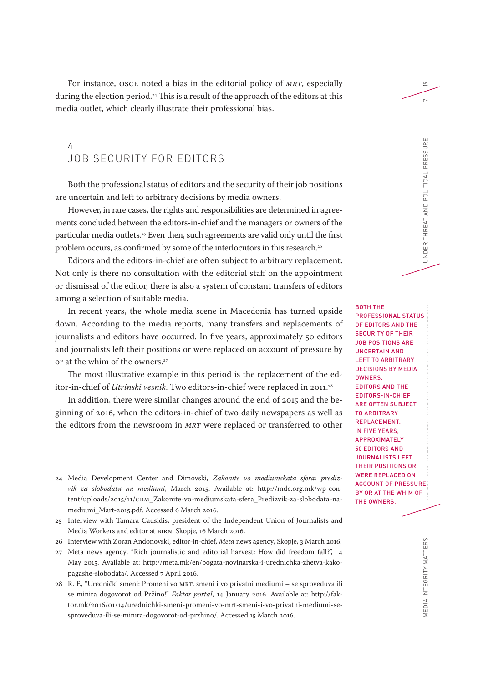For instance, OSCE noted a bias in the editorial policy of *MRT*, especially during the election period.<sup>24</sup> This is a result of the approach of the editors at this media outlet, which clearly illustrate their professional bias.

# 4 JOB SECURITY FOR EDITORS

Both the professional status of editors and the security of their job positions are uncertain and left to arbitrary decisions by media owners.

However, in rare cases, the rights and responsibilities are determined in agreements concluded between the editors-in-chief and the managers or owners of the particular media outlets.<sup>25</sup> Even then, such agreements are valid only until the first problem occurs, as confirmed by some of the interlocutors in this research.<sup>26</sup>

Editors and the editors-in-chief are often subject to arbitrary replacement. Not only is there no consultation with the editorial staff on the appointment or dismissal of the editor, there is also a system of constant transfers of editors among a selection of suitable media.

In recent years, the whole media scene in Macedonia has turned upside down. According to the media reports, many transfers and replacements of journalists and editors have occurred. In five years, approximately 50 editors and journalists left their positions or were replaced on account of pressure by or at the whim of the owners.<sup>27</sup>

The most illustrative example in this period is the replacement of the editor-in-chief of *Utrinski vesnik*. Two editors-in-chief were replaced in 2011.<sup>28</sup>

In addition, there were similar changes around the end of 2015 and the beginning of 2016, when the editors-in-chief of two daily newspapers as well as the editors from the newsroom in *MRT* were replaced or transferred to other

- 24 Media Development Center and Dimovski, *Zakonite vo mediumskata sfera: predizvik za slobodata na mediumi*, March 2015. Available at: [http://mdc.org.mk/wp-con](http://mdc.org.mk/wp-content/uploads/2015/11/CRM_Zakonite-vo-mediumskata-sfera_Predizvik-za-slobodata-na-mediumi_Mart-2015.pdf)[tent/uploads/2015/11/CRM\\_Zakonite-vo-mediumskata-sfera\\_Predizvik-za-slobodata-na](http://mdc.org.mk/wp-content/uploads/2015/11/CRM_Zakonite-vo-mediumskata-sfera_Predizvik-za-slobodata-na-mediumi_Mart-2015.pdf)[mediumi\\_Mart-2015.pdf](http://mdc.org.mk/wp-content/uploads/2015/11/CRM_Zakonite-vo-mediumskata-sfera_Predizvik-za-slobodata-na-mediumi_Mart-2015.pdf). Accessed 6 March 2016.
- 25 Interview with Tamara Causidis, president of the Independent Union of Journalists and Media Workers and editor at BIRN, Skopje, 16 March 2016.
- 26 Interview with Zoran Andonovski, editor-in-chief, *Meta* news agency, Skopje, 3 March 2016.
- 27 Meta news agency, "Rich journalistic and editorial harvest: How did freedom fall?", 4 May 2015. Available at: [http://meta.mk/en/bogata-novinarska-i-urednichka-zhetva-kako](http://meta.mk/en/bogata-novinarska-i-urednichka-zhetva-kako-pagashe-slobodata/)[pagashe-slobodata/.](http://meta.mk/en/bogata-novinarska-i-urednichka-zhetva-kako-pagashe-slobodata/) Accessed 7 April 2016.
- 28 R. F., "Urednički smeni: Promeni vo MRT, smeni i vo privatni mediumi se sproveduva ili se minira dogovorot od Pržino!" *Faktor portal*, 14 January 2016. Available at: [http://fak](http://faktor.mk/2016/01/14/urednichki-smeni-promeni-vo-mrt-smeni-i-vo-privatni-mediumi-se-sproveduva-ili-se-minira-dogovorot-od-przhino/)[tor.mk/2016/01/14/urednichki-smeni-promeni-vo-mrt-smeni-i-vo-privatni-mediumi-se](http://faktor.mk/2016/01/14/urednichki-smeni-promeni-vo-mrt-smeni-i-vo-privatni-mediumi-se-sproveduva-ili-se-minira-dogovorot-od-przhino/)[sproveduva-ili-se-minira-dogovorot-od-przhino/](http://faktor.mk/2016/01/14/urednichki-smeni-promeni-vo-mrt-smeni-i-vo-privatni-mediumi-se-sproveduva-ili-se-minira-dogovorot-od-przhino/). Accessed 15 March 2016.

MEDIA INTEGRITY MATTERS THE EDITORS' ROLE INTEGRITY MATTERS THE ESSURE THREAT AND POLITICAL PRESSURE 7 BOTH THE PROFESSIONAL STATUS OF EDITORS AND THE SECURITY OF THEIR JOB POSITIONS ARE UNCERTAIN AND LEFT TO ARBITRARY DECISIONS BY MEDIA OWNERS. EDITORS AND THE EDITORS-IN-CHIEF ARE OFTEN SUBJECT TO ARBITRARY REPLACEMENT. IN FIVE YEARS, APPROXIMATELY 50 EDITORS AND JOURNALISTS LEFT THEIR POSITIONS OR WERE REPLACED ON ACCOUNT OF PRESSURE BY OR AT THE WHIM OF THE OWNERS.

19

 $\sim$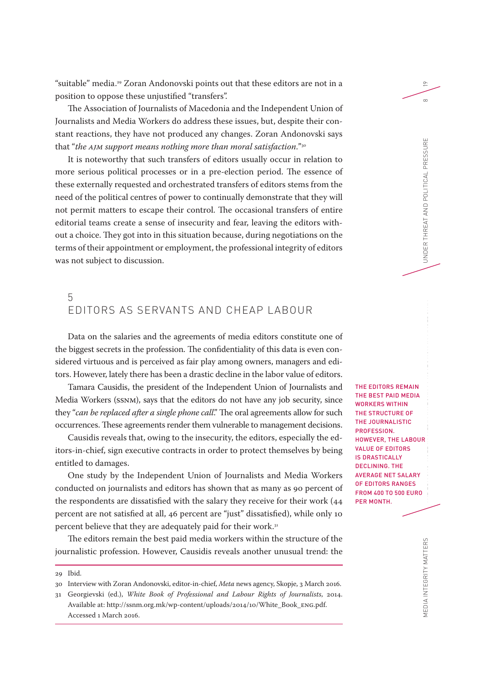"suitable" media. 29 Zoran Andonovski points out that these editors are not in a position to oppose these unjustified "transfers".

The Association of Journalists of Macedonia and the Independent Union of Journalists and Media Workers do address these issues, but, despite their constant reactions, they have not produced any changes. Zoran Andonovski says that "*the AJM support means nothing more than moral satisfaction*."30

It is noteworthy that such transfers of editors usually occur in relation to more serious political processes or in a pre-election period. The essence of these externally requested and orchestrated transfers of editors stems from the need of the political centres of power to continually demonstrate that they will not permit matters to escape their control. The occasional transfers of entire editorial teams create a sense of insecurity and fear, leaving the editors without a choice. They got into in this situation because, during negotiations on the terms of their appointment or employment, the professional integrity of editors was not subject to discussion.

## 5 EDITORS AS SERVANTS AND CHEAP LABOUR

Data on the salaries and the agreements of media editors constitute one of the biggest secrets in the profession. The confidentiality of this data is even considered virtuous and is perceived as fair play among owners, managers and editors. However, lately there has been a drastic decline in the labor value of editors.

Tamara Causidis, the president of the Independent Union of Journalists and Media Workers (SSNM), says that the editors do not have any job security, since they "*can be replaced after a single phone call*." The oral agreements allow for such occurrences. These agreements render them vulnerable to management decisions.

Causidis reveals that, owing to the insecurity, the editors, especially the editors-in-chief, sign executive contracts in order to protect themselves by being entitled to damages.

One study by the Independent Union of Journalists and Media Workers conducted on journalists and editors has shown that аs many as 90 percent of the respondents are dissatisfied with the salary they receive for their work (44 percent are not satisfied at all, 46 percent are "just" dissatisfied), while only 10 percent believe that they are adequately paid for their work.<sup>31</sup>

The editors remain the best paid media workers within the structure of the journalistic profession. However, Causidis reveals another unusual trend: the THE EDITORS REMAIN THE BEST PAID MEDIA WORKERS WITHIN THE STRUCTURE OF THE JOURNALISTIC PROFESSION. HOWEVER, THE LABOUR VALUE OF EDITORS IS DRASTICALLY DECLINING. THE AVERAGE NET SALARY OF EDITORS RANGES FROM 400 TO 500 EURO PER MONTH.

EDIA INTEGRITY MATTERS

<sup>29</sup> Ibid.

<sup>30</sup> Interview with Zoran Andonovski, editor-in-chief, *Meta* news agency, Skopje, 3 March 2016.

<sup>31</sup> Georgievski (ed.), *White Book of Professional and Labour Rights of Journalists*, 2014. Available at: [http://ssnm.org.mk/wp-content/uploads/2014/10/White\\_Book\\_ENG.pdf](http://ssnm.org.mk/wp-content/uploads/2014/10/White_Book_ENG.pdf). Accessed 1 March 2016.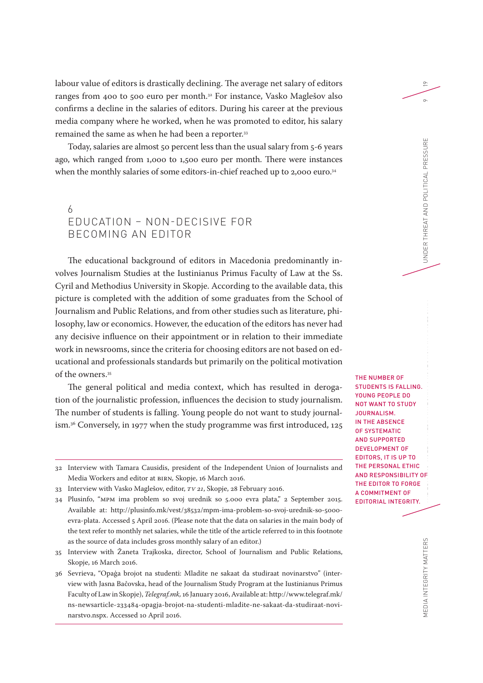labour value of editors is drastically declining. The average net salary of editors ranges from 400 to 500 euro per month.32 For instance, Vasko Maglešov also confirms a decline in the salaries of editors. During his career at the previous media company where he worked, when he was promoted to editor, his salary remained the same as when he had been a reporter.<sup>33</sup>

Today, salaries are almost 50 percent less than the usual salary from 5-6 years ago, which ranged from 1,000 to 1,500 euro per month. There were instances when the monthly salaries of some editors-in-chief reached up to 2,000 euro.<sup>34</sup>

# 6 EDUCATION – NON-DECISIVE FOR BECOMING AN EDITOR

The educational background of editors in Macedonia predominantly involves Journalism Studies at the Iustinianus Primus Faculty of Law at the Ss. Cyril and Methodius University in Skopje. According to the available data, this picture is completed with the addition of some graduates from the School of Journalism and Public Relations, and from other studies such as literature, philosophy, law or economics. However, the education of the editors has never had any decisive influence on their appointment or in relation to their immediate work in newsrooms, since the criteria for choosing editors are not based on educational and professionals standards but primarily on the political motivation of the owners.<sup>35</sup>

The general political and media context, which has resulted in derogation of the journalistic profession, influences the decision to study journalism. The number of students is falling. Young people do not want to study journalism.36 Conversely, in 1977 when the study programme was first introduced, 125

35 Interview with Žaneta Trajkoska, director, School of Journalism and Public Relations, Skopje, 16 March 2016.

MEDIA INTEGRITY MATTERS<br>On the edition integrity matters that the edition in the contract in the contract in the edition in the experiment of the edition in the essure of the edition in the essure of the edition in the edi THE NUMBER OF STUDENTS IS FALLING. YOUNG PEOPLE DO NOT WANT TO STUDY JOURNALISM. IN THE ABSENCE OF SYSTEMATIC AND SUPPORTED DEVELOPMENT OF EDITORS, IT IS UP TO THE PERSONAL ETHIC AND RESPONSIBILITY OF THE EDITOR TO FORGE A COMMITMENT OF EDITORIAL INTEGRITY.

19

 $\circ$ 

<sup>32</sup> Interview with Tamara Causidis, president of the Independent Union of Journalists and Media Workers and editor at BIRN*,* Skopje, 16 March 2016.

<sup>33</sup> Interview with Vasko Maglešov, editor, *TV 21*, Skopje, 28 February 2016.

<sup>34</sup> Plusinfo, "MPM ima problem so svoj urednik so 5.000 evra plata," 2 September 2015. Available at: [http://plusinfo.mk/vest/38532/mpm-ima-problem-so-svoj-urednik-so-5000](http://plusinfo.mk/vest/38532/mpm-ima-problem-so-svoj-urednik-so-5000-evra-plata) [evra-plata.](http://plusinfo.mk/vest/38532/mpm-ima-problem-so-svoj-urednik-so-5000-evra-plata) Accessed 5 April 2016. (Please note that the data on salaries in the main body of the text refer to monthly net salaries, while the title of the article referred to in this footnote as the source of data includes gross monthly salary of an editor.)

<sup>36</sup> Sevrieva, "Opaģa brojot na studenti: Mladite ne sakaat da studiraat novinarstvo" (interview with Jasna Bačovska, head of the Journalism Study Program at the Iustinianus Primus Faculty of Law in Skopje), *Telegraf.mk,* 16 January 2016, Available at: [http://www.telegraf.mk/](http://www.telegraf.mk/ns-newsarticle-233484-opagja-brojot-na-studenti-mladite-ne-sakaat-da-studiraat-novinarstvo.nspx) [ns-newsarticle-233484-opagja-brojot-na-studenti-mladite-ne-sakaat-da-studiraat-novi](http://www.telegraf.mk/ns-newsarticle-233484-opagja-brojot-na-studenti-mladite-ne-sakaat-da-studiraat-novinarstvo.nspx)[narstvo.nspx](http://www.telegraf.mk/ns-newsarticle-233484-opagja-brojot-na-studenti-mladite-ne-sakaat-da-studiraat-novinarstvo.nspx). Accessed 10 April 2016.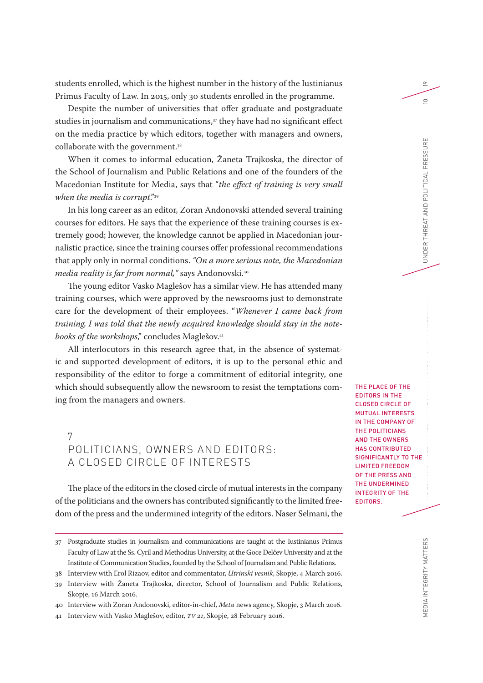students enrolled, which is the highest number in the history of the Iustinianus Primus Faculty of Law. In 2015, only 30 students enrolled in the programme.

Despite the number of universities that offer graduate and postgraduate studies in journalism and communications,<sup>37</sup> they have had no significant effect on the media practice by which editors, together with managers and owners, collaborate with the government.<sup>38</sup>

When it comes to informal education, Žaneta Trajkoska, the director of the School of Journalism and Public Relations and one of the founders of the Macedonian Institute for Media, says that "*the effect of training is very small when the media is corrupt*."39

In his long career as an editor, Zoran Andonovski attended several training courses for editors. He says that the experience of these training courses is extremely good; however, the knowledge cannot be applied in Macedonian journalistic practice, since the training courses offer professional recommendations that apply only in normal conditions. *"On a more serious note, the Macedonian media reality is far from normal,"* says Andonovski.40

The young editor Vasko Maglešov has a similar view. He has attended many training courses, which were approved by the newsrooms just to demonstrate care for the development of their employees. "*Whenever I came back from training, I was told that the newly acquired knowledge should stay in the notebooks of the workshops*," concludes Maglešov.41

All interlocutors in this research agree that, in the absence of systematic and supported development of editors, it is up to the personal ethic and responsibility of the editor to forge a commitment of editorial integrity, one which should subsequently allow the newsroom to resist the temptations coming from the managers and owners.

7 POLITICIANS, OWNERS AND EDITORS: A CLOSED CIRCLE OF INTERESTS

The place of the editors in the closed circle of mutual interests in the company of the politicians and the owners has contributed significantly to the limited freedom of the press and the undermined integrity of the editors. Naser Selmani, the THE PLACE OF THE EDITORS IN THE CLOSED CIRCLE OF MUTUAL INTERESTS IN THE COMPANY OF THE POLITICIANS AND THE OWNERS HAS CONTRIBUTED SIGNIFICANTLY TO THE LIMITED FREEDOM OF THE PRESS AND THE UNDERMINED INTEGRITY OF THE EDITORS.

<sup>37</sup> Postgraduate studies in journalism and communications are taught at the Iustinianus Primus Faculty of Law at the Ss. Cyril and Methodius University, at the Goce Delčev University and at the Institute of Communication Studies, founded by the School of Journalism and Public Relations.

<sup>38</sup> Interview with Erol Rizaov, editor and commentator, *Utrinski vesnik*, Skopje, 4 March 2016.

<sup>39</sup> Interview with Žaneta Trajkoska, director, School of Journalism and Public Relations, Skopje, 16 March 2016.

<sup>40</sup> Interview with Zoran Andonovski, editor-in-chief, *Meta* news agency*,* Skopje, 3 March 2016.

<sup>41</sup> Interview with Vasko Maglešov, editor, *TV 21*, Skopje, 28 February 2016.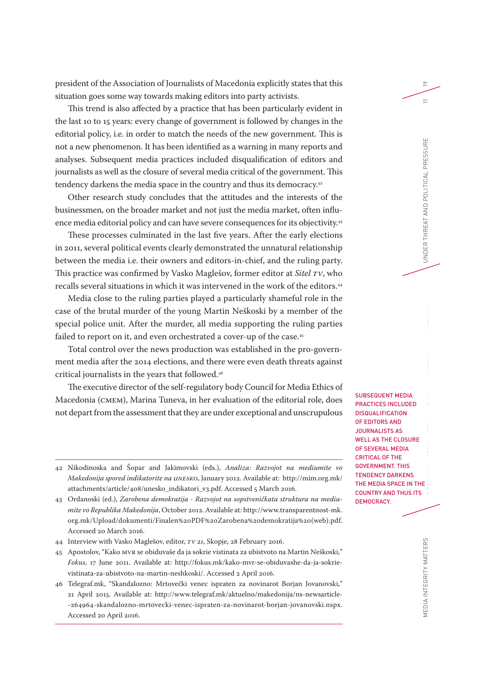president of the Association of Journalists of Macedonia explicitly states that this situation goes some way towards making editors into party activists.

This trend is also affected by a practice that has been particularly evident in the last 10 to 15 years: every change of government is followed by changes in the editorial policy, i.e. in order to match the needs of the new government. This is not a new phenomenon. It has been identified as a warning in many reports and analyses. Subsequent media practices included disqualification of editors and journalists as well as the closure of several media critical of the government. This tendency darkens the media space in the country and thus its democracy.<sup>42</sup>

Other research study concludes that the attitudes and the interests of the businessmen, on the broader market and not just the media market, often influence media editorial policy and can have severe consequences for its objectivity.<sup>43</sup>

These processes culminated in the last five years. After the early elections in 2011, several political events clearly demonstrated the unnatural relationship between the media i.e. their owners and editors-in-chief, and the ruling party. This practice was confirmed by Vasko Maglešov, former editor at *Sitel TV*, who recalls several situations in which it was intervened in the work of the editors.44

Media close to the ruling parties played a particularly shameful role in the case of the brutal murder of the young Martin Neškoski by a member of the special police unit. After the murder, all media supporting the ruling parties failed to report on it, and even orchestrated a cover-up of the case.<sup>45</sup>

Total control over the news production was established in the pro-government media after the 2014 elections, and there were even death threats against critical journalists in the years that followed.46

The executive director of the self-regulatory body Council for Media Ethics of Macedonia (CMEM), Marina Tuneva, in her evaluation of the editorial role, does not depart from the assessment that they are under exceptional and unscrupulous

- 44 Interview with Vasko Maglešov, editor, *TV 21*, Skopje, 28 February 2016.
- 45 Apostolov, "Kako MVR se obiduvaše da ja sokrie vistinata za ubistvoto na Martin Neškoski," *Fokus*, 17 June 2011. Available at: [http://fokus.mk/kako-mvr-se-obiduvashe-da-ja-sokrie](http://fokus.mk/kako-mvr-se-obiduvashe-da-ja-sokrie-vistinata-za-ubistvoto-na-martin-neshkoski/)[vistinata-za-ubistvoto-na-martin-neshkoski/](http://fokus.mk/kako-mvr-se-obiduvashe-da-ja-sokrie-vistinata-za-ubistvoto-na-martin-neshkoski/). Accessed 2 April 2016.
- 46 Telegraf.mk, "Skandalozno: Mrtovečki venec ispraten za novinarot Borjan Jovanovski," 21 April 2015. Available at: [http://www.telegraf.mk/aktuelno/makedonija/ns-newsarticle-](http://www.telegraf.mk/aktuelno/makedonija/ns-newsarticle-264964-skandalozno-mrtovecki-venec-ispraten-za-novinarot-borjan-jovanovski.nspx) [-264964-skandalozno-mrtovecki-venec-ispraten-za-novinarot-borjan-jovanovski.nspx](http://www.telegraf.mk/aktuelno/makedonija/ns-newsarticle-264964-skandalozno-mrtovecki-venec-ispraten-za-novinarot-borjan-jovanovski.nspx). Accessed 20 April 2016.

SUBSEQUENT MEDIA PRACTICES INCLUDED **DISQUALIFICATION** OF EDITORS AND JOURNALISTS AS WELL AS THE CLOSURE OF SEVERAL MEDIA CRITICAL OF THE GOVERNMENT. THIS TENDENCY DARKENS THE MEDIA SPACE IN THE COUNTRY AND THUS ITS DEMOCRACY.

<sup>42</sup> Nikodinoska and Šopar and Jakimovski (eds.), *Analiza: Razvojot na mediumite vo Makedonija spored indikatorite na UNESKO*, January 2012. Available at: [http://mim.org.mk/](http://mim.org.mk/attachments/article/408/unesko_indikatori_v3.pdf) [attachments/article/408/unesko\\_indikatori\\_v3.pdf](http://mim.org.mk/attachments/article/408/unesko_indikatori_v3.pdf). Accessed 5 March 2016.

<sup>43</sup> Ordanoski (ed.), *Zarobena demokratija - Razvojot na sopstveničkata struktura na mediumite vo Republika Makedonija*, October 2012. Available at: [http://www.transparentnost-mk.](http://www.transparentnost-mk.org.mk/Upload/dokumenti/Finalen PDF Zarobena demokratija (web).pdf) [org.mk/Upload/dokumenti/Finalen%20PDF%20Zarobena%20demokratija%20\(web\).pdf](http://www.transparentnost-mk.org.mk/Upload/dokumenti/Finalen PDF Zarobena demokratija (web).pdf). Accessed 20 March 2016.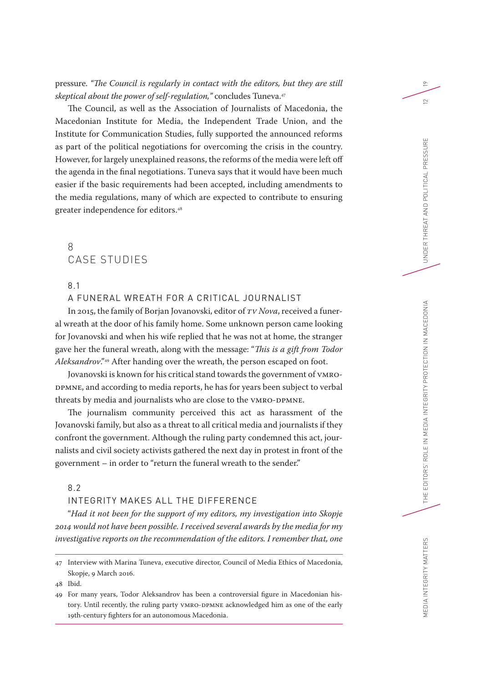pressure. *"The Council is regularly in contact with the editors, but they are still skeptical about the power of self-regulation,"* concludes Tuneva.47

The Council, as well as the Association of Journalists of Macedonia, the Macedonian Institute for Media, the Independent Trade Union, and the Institute for Communication Studies, fully supported the announced reforms as part of the political negotiations for overcoming the crisis in the country. However, for largely unexplained reasons, the reforms of the media were left off the agenda in the final negotiations. Tuneva says that it would have been much easier if the basic requirements had been accepted, including amendments to the media regulations, many of which are expected to contribute to ensuring greater independence for editors.48

## 8 CASE STUDIES

8.1

A FUNERAL WREATH FOR A CRITICAL JOURNALIST

In 2015, the family of Borjan Jovanovski, editor of *TV Nova*, received a funeral wreath at the door of his family home. Some unknown person came looking for Jovanovski and when his wife replied that he was not at home, the stranger gave her the funeral wreath, along with the message: "*This is a gift from Todor Aleksandrov*."49 After handing over the wreath, the person escaped on foot.

Jovanovski is known for his critical stand towards the government of VMRO-DPMNE, and according to media reports, he has for years been subject to verbal threats by media and journalists who are close to the VMRO-DPMNE.

The journalism community perceived this act as harassment of the Jovanovski family, but also as a threat to all critical media and journalists if they confront the government. Although the ruling party condemned this act, journalists and civil society activists gathered the next day in protest in front of the government – in order to "return the funeral wreath to the sender."

8.2

## INTEGRITY MAKES ALL THE DIFFERENCE

"*Had it not been for the support of my editors, my investigation into Skopje 2014 would not have been possible. I received several awards by the media for my investigative reports on the recommendation of the editors. I remember that, one* 

48 Ibid.

19

 $\subseteq$ 

<sup>47</sup> Interview with Marina Tuneva, executive director, Council of Media Ethics of Macedonia, Skopje, 9 March 2016.

<sup>49</sup> For many years, Todor Aleksandrov has been a controversial figure in Macedonian history. Until recently, the ruling party VMRO-DPMNE acknowledged him as one of the early 19th-century fighters for an autonomous Macedonia.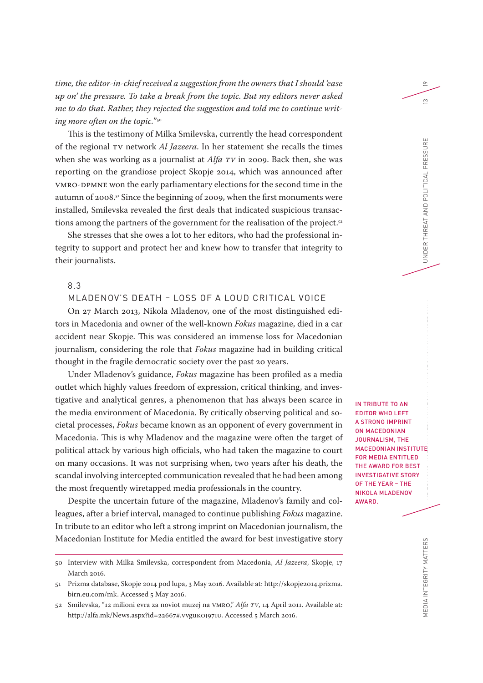*time, the editor-in-chief received a suggestion from the owners that I should 'ease up on' the pressure. To take a break from the topic. But my editors never asked me to do that. Rather, they rejected the suggestion and told me to continue writing more often on the topic.*"50

This is the testimony of Milka Smilevska, currently the head correspondent of the regional TV network *Al Jazeera*. In her statement she recalls the times when she was working as a journalist at *Alfa TV* in 2009. Back then, she was reporting on the grandiose project Skopje 2014, which was announced after VMRO-DPMNE won the early parliamentary elections for the second time in the autumn of 2008.51 Since the beginning of 2009, when the first monuments were installed, Smilevska revealed the first deals that indicated suspicious transactions among the partners of the government for the realisation of the project.<sup>52</sup>

She stresses that she owes a lot to her editors, who had the professional integrity to support and protect her and knew how to transfer that integrity to their journalists.

## 8.3

MLADENOV'S DEATH – LOSS OF A LOUD CRITICAL VOICE

On 27 March 2013, Nikola Mladenov, one of the most distinguished editors in Macedonia and owner of the well-known *Fokus* magazine, died in a car accident near Skopje. This was considered an immense loss for Macedonian journalism, considering the role that *Fokus* magazine had in building critical thought in the fragile democratic society over the past 20 years.

Under Mladenov's guidance, *Fokus* magazine has been profiled as a media outlet which highly values freedom of expression, critical thinking, and investigative and analytical genres, a phenomenon that has always been scarce in the media environment of Macedonia. By critically observing political and societal processes, *Fokus* became known as an opponent of every government in Macedonia. This is why Mladenov and the magazine were often the target of political attack by various high officials, who had taken the magazine to court on many occasions. It was not surprising when, two years after his death, the scandal involving intercepted communication revealed that he had been among the most frequently wiretapped media professionals in the country.

Despite the uncertain future of the magazine, Mladenov's family and colleagues, after a brief interval, managed to continue publishing *Fokus* magazine. In tribute to an editor who left a strong imprint on Macedonian journalism, the Macedonian Institute for Media entitled the award for best investigative story IN TRIBUTE TO AN EDITOR WHO LEFT A STRONG IMPRINT ON MACEDONIAN JOURNALISM, THE MACEDONIAN INSTITUTE FOR MEDIA ENTITLED THE AWARD FOR BEST INVESTIGATIVE STORY OF THE YEAR – THE NIKOLA MLADENOV AWARD.

<sup>50</sup> Interview with Milka Smilevska, correspondent from Macedonia, *Al Jazeera*, Skopje, 17 March 2016.

<sup>51</sup> Prizma database, Skopje 2014 pod lupa, 3 May 2016. Available at: [http://skopje2014.prizma.](http://skopje2014.prizma.birn.eu.com/mk) [birn.eu.com/mk](http://skopje2014.prizma.birn.eu.com/mk). Accessed 5 May 2016.

<sup>52</sup> Smilevska, "12 milioni evra za noviot muzej na VMRO," *Alfa TV*, 14 April 2011. Available at: [http://alfa.mk/News.aspx?id=22667#.VvguKOJ97IU.](http://alfa.mk/News.aspx?id=22667#.VvguKOJ97IU) Accessed 5 March 2016.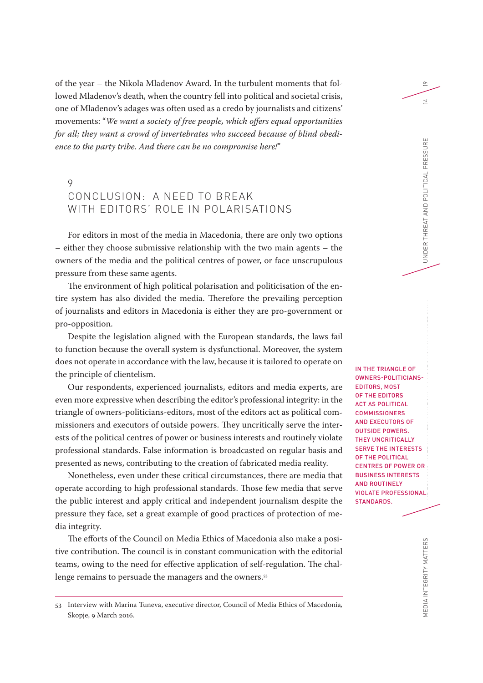of the year – the Nikola Mladenov Award. In the turbulent moments that followed Mladenov's death, when the country fell into political and societal crisis, one of Mladenov's adages was often used as a credo by journalists and citizens' movements: "*We want a society of free people, which offers equal opportunities for all; they want a crowd of invertebrates who succeed because of blind obedience to the party tribe. And there can be no compromise here!*"

# 9 CONCLUSION: A NEED TO BREAK WITH EDITORS' ROLE IN POLARISATIONS

For editors in most of the media in Macedonia, there are only two options – either they choose submissive relationship with the two main agents – the owners of the media and the political centres of power, or face unscrupulous pressure from these same agents.

The environment of high political polarisation and politicisation of the entire system has also divided the media. Therefore the prevailing perception of journalists and editors in Macedonia is either they are pro-government or pro-opposition.

Despite the legislation aligned with the European standards, the laws fail to function because the overall system is dysfunctional. Moreover, the system does not operate in accordance with the law, because it is tailored to operate on the principle of clientelism.

Our respondents, experienced journalists, editors and media experts, are even more expressive when describing the editor's professional integrity: in the triangle of owners-politicians-editors, most of the editors act as political commissioners and executors of outside powers. They uncritically serve the interests of the political centres of power or business interests and routinely violate professional standards. False information is broadcasted on regular basis and presented as news, contributing to the creation of fabricated media reality.

Nonetheless, even under these critical circumstances, there are media that operate according to high professional standards. Those few media that serve the public interest and apply critical and independent journalism despite the pressure they face, set a great example of good practices of protection of media integrity.

The efforts of the Council on Media Ethics of Macedonia also make a positive contribution. The council is in constant communication with the editorial teams, owing to the need for effective application of self-regulation. The challenge remains to persuade the managers and the owners.<sup>53</sup>

53 Interview with Marina Tuneva, executive director, Council of Media Ethics of Macedonia*,*  Skopje, 9 March 2016.

MEDIA INTEGRITY MATTERS THE EDITORS' ROLE INTEGRITY MATTERS THE LATTERS THE LATTERS ON A LANGURE IN MACHINE TH IN THE TRIANGLE OF OWNERS-POLITICIANS-EDITORS, MOST OF THE EDITORS ACT AS POLITICAL **COMMISSIONERS** AND EXECUTORS OF OUTSIDE POWERS. THEY UNCRITICALLY SERVE THE INTERESTS OF THE POLITICAL CENTRES OF POWER OR BUSINESS INTERESTS AND ROUTINELY VIOLATE PROFESSIONAL STANDARDS.

 $\approx$ 

 $\overline{a}$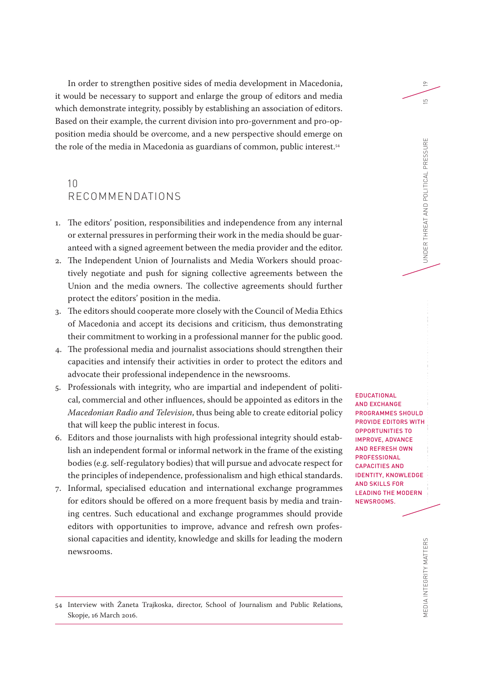In order to strengthen positive sides of media development in Macedonia, it would be necessary to support and enlarge the group of editors and media which demonstrate integrity, possibly by establishing an association of editors. Based on their example, the current division into pro-government and pro-opposition media should be overcome, and a new perspective should emerge on the role of the media in Macedonia as guardians of common, public interest.54

# 10 RECOMMENDATIONS

- 1. The editors' position, responsibilities and independence from any internal or external pressures in performing their work in the media should be guaranteed with a signed agreement between the media provider and the editor.
- 2. The Independent Union of Journalists and Media Workers should proactively negotiate and push for signing collective agreements between the Union and the media owners. The collective agreements should further protect the editors' position in the media.
- 3. The editors should cooperate more closely with the Council of Media Ethics of Macedonia and accept its decisions and criticism, thus demonstrating their commitment to working in a professional manner for the public good.
- 4. The professional media and journalist associations should strengthen their capacities and intensify their activities in order to protect the editors and advocate their professional independence in the newsrooms.
- 5. Professionals with integrity, who are impartial and independent of political, commercial and other influences, should be appointed as editors in the *Macedonian Radio and Television*, thus being able to create editorial policy that will keep the public interest in focus.
- 6. Editors and those journalists with high professional integrity should establish an independent formal or informal network in the frame of the existing bodies (e.g. self-regulatory bodies) that will pursue and advocate respect for the principles of independence, professionalism and high ethical standards.
- 7. Informal, specialised education and international exchange programmes for editors should be offered on a more frequent basis by media and training centres. Such educational and exchange programmes should provide editors with opportunities to improve, advance and refresh own professional capacities and identity, knowledge and skills for leading the modern newsrooms.

MEDIA INTEGRITY MATTERS THE EDITORS' ROLE INTEGRITY MATTERS THE EDITORS' ROLE IN MEDIA IN MEDIA IN MEDIA IN ME<br>Nexus and political integrity matter that the contract in the contract of the contract in the contract in the c EDUCATIONAL AND EXCHANGE PROGRAMMES SHOULD PROVIDE EDITORS WITH OPPORTUNITIES TO IMPROVE, ADVANCE AND REFRESH OWN PROFESSIONAL CAPACITIES AND IDENTITY, KNOWLEDGE AND SKILLS FOR LEADING THE MODERN NEWSROOMS.

19

 $\overline{5}$ 

<sup>54</sup> Interview with Žaneta Trajkoska, director, School of Journalism and Public Relations, Skopje, 16 March 2016.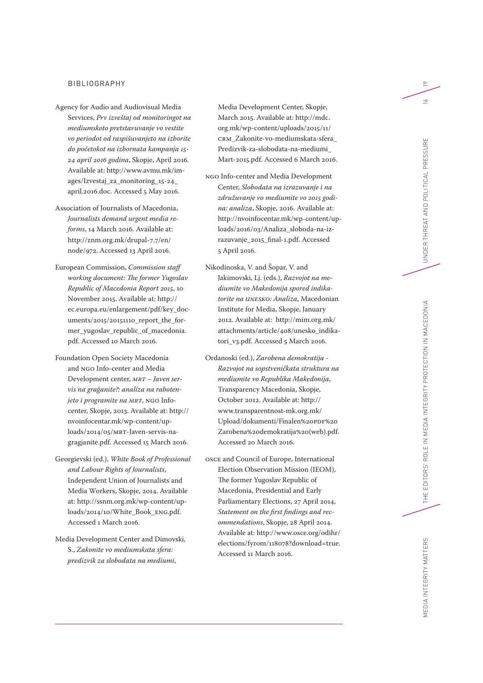#### BIBLIOGRAPHY

- Agency for Audio and Audiovisual Media Services, *Prv izveštaj od monitoringot na mediumskoto pretstavuvanje vo vestite vo periodot od raspišuvanjeto na izborite do početokot na izbornata kampanja 15- 24 april 2016 godina*, Skopje, April 2016. Available at: [http://www.avmu.mk/im](http://www.avmu.mk/images/Izvestaj_za_monitoring_15-24_april.2016.doc)[ages/Izvestaj\\_za\\_monitoring\\_15-24\\_](http://www.avmu.mk/images/Izvestaj_za_monitoring_15-24_april.2016.doc) [april.2016.doc](http://www.avmu.mk/images/Izvestaj_za_monitoring_15-24_april.2016.doc). Accessed 5 May 2016.
- Association of Journalists of Macedonia, *Journalists demand urgent media reforms*, 14 March 2016. Available at: [http://znm.org.mk/drupal-7.7/en/](http://znm.org.mk/drupal-7.7/en/node/972) [node/972.](http://znm.org.mk/drupal-7.7/en/node/972) Accessed 13 April 2016.
- European Commission, *Commission staff working document: The former Yugoslav Republic of Macedonia Report 2015*, 10 November 2015. Available at: [http://](http://ec.europa.eu/enlargement/pdf/key_documents/2015/20151110_report_the_former_yugoslav_republic_of_macedonia.pdf) [ec.europa.eu/enlargement/pdf/key\\_doc](http://ec.europa.eu/enlargement/pdf/key_documents/2015/20151110_report_the_former_yugoslav_republic_of_macedonia.pdf)[uments/2015/20151110\\_report\\_the\\_for](http://ec.europa.eu/enlargement/pdf/key_documents/2015/20151110_report_the_former_yugoslav_republic_of_macedonia.pdf)[mer\\_yugoslav\\_republic\\_of\\_macedonia.](http://ec.europa.eu/enlargement/pdf/key_documents/2015/20151110_report_the_former_yugoslav_republic_of_macedonia.pdf) [pdf](http://ec.europa.eu/enlargement/pdf/key_documents/2015/20151110_report_the_former_yugoslav_republic_of_macedonia.pdf). Accessed 10 March 2016.
- Foundation Open Society Macedonia and NGO Info-center and Media Development center, *MRT – Javen servis na graģanite?: analiza na rabotenjeto i programite na MRT*, NGO Infocenter, Skopje, 2013. Available at: [http://](http://nvoinfocentar.mk/wp-content/uploads/2014/05/MRT-Javen-servis-na-gragjanite.pdf) [nvoinfocentar.mk/wp-content/up](http://nvoinfocentar.mk/wp-content/uploads/2014/05/MRT-Javen-servis-na-gragjanite.pdf)[loads/2014/05/MRT-Javen-servis-na](http://nvoinfocentar.mk/wp-content/uploads/2014/05/MRT-Javen-servis-na-gragjanite.pdf)[gragjanite.pdf](http://nvoinfocentar.mk/wp-content/uploads/2014/05/MRT-Javen-servis-na-gragjanite.pdf). Accessed 15 March 2016.
- Georgievski (ed.), *White Book of Professional and Labour Rights of Journalists*, Independent Union of Journalists and Media Workers, Skopje, 2014. Available at: [http://ssnm.org.mk/wp-content/up](http://ssnm.org.mk/wp-content/uploads/2014/10/White_Book_ENG.pdf)[loads/2014/10/White\\_Book\\_ENG.pdf](http://ssnm.org.mk/wp-content/uploads/2014/10/White_Book_ENG.pdf). Accessed 1 March 2016.
- Media Development Center and Dimovski, S., *Zakonite vo mediumskata sfera: predizvik za slobodata na mediumi*,

Media Development Center, Skopje, March 2015. Available at: [http://mdc.](http://mdc.org.mk/wp-content/uploads/2015/11/CRM_Zakonite-vo-mediumskata-sfera_Predizvik-za-slobodata-na-mediumi_Mart-2015.pdf) [org.mk/wp-content/uploads/2015/11/](http://mdc.org.mk/wp-content/uploads/2015/11/CRM_Zakonite-vo-mediumskata-sfera_Predizvik-za-slobodata-na-mediumi_Mart-2015.pdf) [CRM\\_Zakonite-vo-mediumskata-sfera\\_](http://mdc.org.mk/wp-content/uploads/2015/11/CRM_Zakonite-vo-mediumskata-sfera_Predizvik-za-slobodata-na-mediumi_Mart-2015.pdf) [Predizvik-za-slobodata-na-mediumi\\_](http://mdc.org.mk/wp-content/uploads/2015/11/CRM_Zakonite-vo-mediumskata-sfera_Predizvik-za-slobodata-na-mediumi_Mart-2015.pdf) [Mart-2015.pdf.](http://mdc.org.mk/wp-content/uploads/2015/11/CRM_Zakonite-vo-mediumskata-sfera_Predizvik-za-slobodata-na-mediumi_Mart-2015.pdf) Accessed 6 March 2016.

- NGO Info-center and Media Development Center, *Slobodata na izrazuvanje i na združuvanje vo mediumite vo 2015 godina: analiza*, Skopje, 2016. Available at: [http://nvoinfocentar.mk/wp-content/up](http://nvoinfocentar.mk/wp-content/uploads/2016/03/Analiza_sloboda-na-izrazuvanje_2015_final-1.pdf)[loads/2016/03/Analiza\\_sloboda-na-iz](http://nvoinfocentar.mk/wp-content/uploads/2016/03/Analiza_sloboda-na-izrazuvanje_2015_final-1.pdf)[razuvanje\\_2015\\_final-1.pdf.](http://nvoinfocentar.mk/wp-content/uploads/2016/03/Analiza_sloboda-na-izrazuvanje_2015_final-1.pdf) Accessed 5 April 2016.
- Nikodinoska, V. and Šopar, V. and Jakimovski, Lj. (eds.), *Razvojot na mediumite vo Makedonija spored indikatorite na UNESKO: Analiza*, Macedonian Institute for Media, Skopje, January 2012. Available at: [http://mim.org.mk/](http://mim.org.mk/attachments/article/408/unesko_indikatori_v3.pdf) [attachments/article/408/unesko\\_indika](http://mim.org.mk/attachments/article/408/unesko_indikatori_v3.pdf)[tori\\_v3.pdf](http://mim.org.mk/attachments/article/408/unesko_indikatori_v3.pdf). Accessed 5 March 2016.
- Ordanoski (ed.), *Zarobena demokratija Razvojot na sopstveničkata struktura na mediumite vo Republika Makedonija*, Transparency Macedonia, Skopje, October 2012. Available at: [http://](http://www.transparentnost-mk.org.mk/Upload/dokumenti/Finalen PDF Zarobena demokratija (web).pdf) [www.transparentnost-mk.org.mk/](http://www.transparentnost-mk.org.mk/Upload/dokumenti/Finalen PDF Zarobena demokratija (web).pdf) [Upload/dokumenti/Finalen%20PDF%20](http://www.transparentnost-mk.org.mk/Upload/dokumenti/Finalen PDF Zarobena demokratija (web).pdf) [Zarobena%20demokratija%20\(web\).pdf](http://www.transparentnost-mk.org.mk/Upload/dokumenti/Finalen PDF Zarobena demokratija (web).pdf). Accessed 20 March 2016.
- OSCE and Council of Europe, International Election Observation Mission (IEOM), The former Yugoslav Republic of Macedonia, Presidential and Early Parliamentary Elections, 27 April 2014, *Statement on the first findings and recommendations*, Skopje, 28 April 2014. Available at: [http://www.osce.org/odihr/](http://www.osce.org/odihr/elections/fyrom/118078?download=true) [elections/fyrom/118078?download=true.](http://www.osce.org/odihr/elections/fyrom/118078?download=true) Accessed 11 March 2016.

 $\frac{\infty}{\infty}$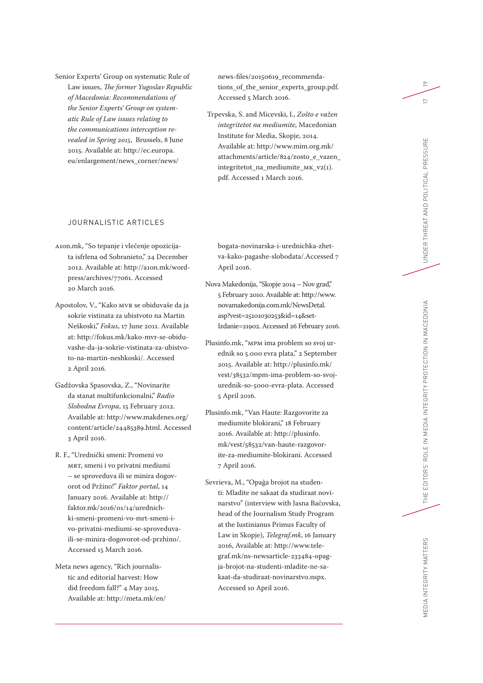Senior Experts' Group on systematic Rule of Law issues, *The former Yugoslav Republic of Macedonia: Recommendations of the Senior Experts' Group on system atic Rule of Law issues relating to the communications interception re vealed in Spring 2015*, Brussels, 8 June 2015. Available at: [http://ec.europa.](http://ec.europa.eu/enlargement/news_corner/news/news-files/20150619_recommendations_of_the_senior_experts_group.pdf) [eu/enlargement/news\\_corner/news/](http://ec.europa.eu/enlargement/news_corner/news/news-files/20150619_recommendations_of_the_senior_experts_group.pdf)

### JOURNALISTIC ARTICLES

- A1on.mk, "So tepanje i vlečenje opozicija ta isfrlena od Sobranieto," 24 December 2012. Available at: [http://a1on.mk/word](http://a1on.mk/wordpress/archives/77061) [press/archives/77061.](http://a1on.mk/wordpress/archives/77061) Accessed 20 March 2016.
- Apostolov, V., "Kako MVR se obiduvaše da ja sokrie vistinata za ubistvoto na Martin Neškoski," *Fokus*, 17 June 2011. Available at: [http://fokus.mk/kako-mvr-se-obidu](http://fokus.mk/kako-mvr-se-obiduvashe-da-ja-sokrie-vistinata-za-ubistvoto-na-martin-neshkoski/) [vashe-da-ja-sokrie-vistinata-za-ubistvo](http://fokus.mk/kako-mvr-se-obiduvashe-da-ja-sokrie-vistinata-za-ubistvoto-na-martin-neshkoski/) [to-na-martin-neshkoski/](http://fokus.mk/kako-mvr-se-obiduvashe-da-ja-sokrie-vistinata-za-ubistvoto-na-martin-neshkoski/). Accessed 2 April 2016.
- Gadžovska Spasovska, Z., "Novinarite da stanat multifunkcionalni," *Radio Slobodna Evropa*, 15 February 2012. Available at: [http://www.makdenes.org/](http://www.makdenes.org/content/article/24485389.html) [content/article/24485389.html](http://www.makdenes.org/content/article/24485389.html). Accessed 3 April 2016.
- R. F., "Urednički smeni: Promeni vo MRT, smeni i vo privatni mediumi – se sproveduva ili se minira dogov orot od Pržino!" *Faktor portal*, 14 January 2016. Available at: [http://](http://faktor.mk/2016/01/14/urednichki-smeni-promeni-vo-mrt-smeni-i-vo-privatni-mediumi-se-sproveduva-ili-se-minira-dogovorot-od-przhino/) [faktor.mk/2016/01/14/urednich](http://faktor.mk/2016/01/14/urednichki-smeni-promeni-vo-mrt-smeni-i-vo-privatni-mediumi-se-sproveduva-ili-se-minira-dogovorot-od-przhino/) [ki-smeni-promeni-vo-mrt-smeni-i](http://faktor.mk/2016/01/14/urednichki-smeni-promeni-vo-mrt-smeni-i-vo-privatni-mediumi-se-sproveduva-ili-se-minira-dogovorot-od-przhino/)[vo-privatni-mediumi-se-sproveduva](http://faktor.mk/2016/01/14/urednichki-smeni-promeni-vo-mrt-smeni-i-vo-privatni-mediumi-se-sproveduva-ili-se-minira-dogovorot-od-przhino/)[ili-se-minira-dogovorot-od-przhino/.](http://faktor.mk/2016/01/14/urednichki-smeni-promeni-vo-mrt-smeni-i-vo-privatni-mediumi-se-sproveduva-ili-se-minira-dogovorot-od-przhino/) Accessed 15 March 2016.
- Meta news agency, "Rich journalis tic and editorial harvest: How did freedom fall?" 4 May 2015. Available at: [http://meta.mk/en/](http://meta.mk/en/bogata-novinarska-i-urednichka-zhetva-kako-pagashe-slobodata/)

[news-files/20150619\\_recommenda](http://ec.europa.eu/enlargement/news_corner/news/news-files/20150619_recommendations_of_the_senior_experts_group.pdf) [tions\\_of\\_the\\_senior\\_experts\\_group.pdf.](http://ec.europa.eu/enlargement/news_corner/news/news-files/20150619_recommendations_of_the_senior_experts_group.pdf) Accessed 5 March 2016.

 Trpevska, S. and Micevski, I., *Zošto e važen integritetot na mediumite*, Macedonian Institute for Media, Skopje, 2014. Available at: [http://www.mim.org.mk/](http://www.mim.org.mk/attachments/article/824/zosto_e_vazen_integritetot_na_mediumite_MK_v2(1).pdf) [attachments/article/824/zosto\\_e\\_vazen\\_](http://www.mim.org.mk/attachments/article/824/zosto_e_vazen_integritetot_na_mediumite_MK_v2(1).pdf) [integritetot\\_na\\_mediumite\\_MK\\_v2\(1\).](http://www.mim.org.mk/attachments/article/824/zosto_e_vazen_integritetot_na_mediumite_MK_v2(1).pdf) [pdf](http://www.mim.org.mk/attachments/article/824/zosto_e_vazen_integritetot_na_mediumite_MK_v2(1).pdf). Accessed 1 March 2016.

[bogata-novinarska-i-urednichka-zhet](http://meta.mk/en/bogata-novinarska-i-urednichka-zhetva-kako-pagashe-slobodata/) [va-kako-pagashe-slobodata/.](http://meta.mk/en/bogata-novinarska-i-urednichka-zhetva-kako-pagashe-slobodata/)Accessed 7 April 2016.

- Nova Makedonija, "Skopje 2014 Nov grad," 5 February 2010. Available at: [http://www.](http://www.novamakedonija.com.mk/NewsDetal.asp?vest=25101030253&id=14&setIzdanie=21902) [novamakedonija.com.mk/NewsDetal.](http://www.novamakedonija.com.mk/NewsDetal.asp?vest=25101030253&id=14&setIzdanie=21902) [asp?vest=25101030253&id=14&set-](http://www.novamakedonija.com.mk/NewsDetal.asp?vest=25101030253&id=14&setIzdanie=21902)[Izdanie=21902](http://www.novamakedonija.com.mk/NewsDetal.asp?vest=25101030253&id=14&setIzdanie=21902). Accessed 26 February 2016.
- Plusinfo.mk, "MPM ima problem so svoj ur ednik so 5.000 evra plata," 2 September 2015. Available at: [http://plusinfo.mk/](http://plusinfo.mk/vest/38532/mpm-ima-problem-so-svoj-urednik-so-5000-evra-plata) [vest/38532/mpm-ima-problem-so-svoj](http://plusinfo.mk/vest/38532/mpm-ima-problem-so-svoj-urednik-so-5000-evra-plata)[urednik-so-5000-evra-plata.](http://plusinfo.mk/vest/38532/mpm-ima-problem-so-svoj-urednik-so-5000-evra-plata) Accessed 5 April 2016.
- Plusinfo.mk, "Van Haute: Razgovorite za mediumite blokirani," 18 February 2016. Available at: [http://plusinfo.](http://plusinfo.mk/vest/58532/van-haute-razgovorite-za-mediumite-blokirani) [mk/vest/58532/van-haute-razgovor](http://plusinfo.mk/vest/58532/van-haute-razgovorite-za-mediumite-blokirani) [ite-za-mediumite-blokirani.](http://plusinfo.mk/vest/58532/van-haute-razgovorite-za-mediumite-blokirani) Accessed 7 April 2016.
- Sevrieva, M., "Opaģa brojot na studen ti: Mladite ne sakaat da studiraat novi narstvo" (interview with Jasna Bačovska, head of the Journalism Study Program at the Iustinianus Primus Faculty of Law in Skopje), *Telegraf.mk*, 16 January 2016, Available at: [http://www.tele](http://www.telegraf.mk/ns-newsarticle-233484-opagja-brojot-na-studenti-mladite-ne-sakaat-da-studiraat-novinarstvo.nspx) [graf.mk/ns-newsarticle-233484-opag](http://www.telegraf.mk/ns-newsarticle-233484-opagja-brojot-na-studenti-mladite-ne-sakaat-da-studiraat-novinarstvo.nspx) [ja-brojot-na-studenti-mladite-ne-sa](http://www.telegraf.mk/ns-newsarticle-233484-opagja-brojot-na-studenti-mladite-ne-sakaat-da-studiraat-novinarstvo.nspx) [kaat-da-studiraat-novinarstvo.nspx](http://www.telegraf.mk/ns-newsarticle-233484-opagja-brojot-na-studenti-mladite-ne-sakaat-da-studiraat-novinarstvo.nspx). Accessed 10 April 2016.

 $\approx$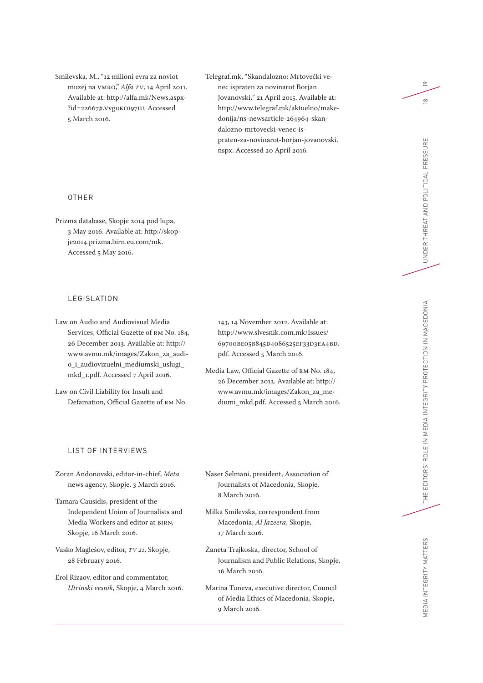Smilevska, M., "12 milioni evra za noviot muzej na VMRO," *Alfa TV*, 14 April 2011. Available at: [http://alfa.mk/News.aspx-](http://alfa.mk/News.aspx?id=22667#.VvguKOJ97IU) [?id=22667#.VvguKOJ97IU.](http://alfa.mk/News.aspx?id=22667#.VvguKOJ97IU) Accessed 5 March 2016.

Telegraf.mk, "Skandalozno: Mrtovečki venec ispraten za novinarot Borjan Jovanovski," 21 April 2015. Available at: [http://www.telegraf.mk/aktuelno/make](http://www.telegraf.mk/aktuelno/makedonija/ns-newsarticle-264964-skandalozno-mrtovecki-venec-ispraten-za-novinarot-borjan-jovanovski.nspx)[donija/ns-newsarticle-264964-skan](http://www.telegraf.mk/aktuelno/makedonija/ns-newsarticle-264964-skandalozno-mrtovecki-venec-ispraten-za-novinarot-borjan-jovanovski.nspx)[dalozno-mrtovecki-venec-is](http://www.telegraf.mk/aktuelno/makedonija/ns-newsarticle-264964-skandalozno-mrtovecki-venec-ispraten-za-novinarot-borjan-jovanovski.nspx)[praten-za-novinarot-borjan-jovanovski.](http://www.telegraf.mk/aktuelno/makedonija/ns-newsarticle-264964-skandalozno-mrtovecki-venec-ispraten-za-novinarot-borjan-jovanovski.nspx) [nspx](http://www.telegraf.mk/aktuelno/makedonija/ns-newsarticle-264964-skandalozno-mrtovecki-venec-ispraten-za-novinarot-borjan-jovanovski.nspx). Accessed 20 April 2016.

#### OTHER

Prizma database, Skopje 2014 pod lupa, 3 May 2016. Available at: [http://skop](http://skopje2014.prizma.birn.eu.com/mk)[je2014.prizma.birn.eu.com/mk](http://skopje2014.prizma.birn.eu.com/mk). Accessed 5 May 2016.

## LEGISLATION

Law on Audio and Audiovisual Media Services, Official Gazette of RM No. 184, 26 December 2013. Available at: [http://](http://www.avmu.mk/images/Zakon_za_audio_i_audiovizuelni_mediumski_uslugi_mkd_1.pdf) [www.avmu.mk/images/Zakon\\_za\\_audi](http://www.avmu.mk/images/Zakon_za_audio_i_audiovizuelni_mediumski_uslugi_mkd_1.pdf)[o\\_i\\_audiovizuelni\\_mediumski\\_uslugi\\_](http://www.avmu.mk/images/Zakon_za_audio_i_audiovizuelni_mediumski_uslugi_mkd_1.pdf) [mkd\\_1.pdf.](http://www.avmu.mk/images/Zakon_za_audio_i_audiovizuelni_mediumski_uslugi_mkd_1.pdf) Accessed 7 April 2016.

Law on Civil Liability for Insult and Defamation, Official Gazette of RM No. 143, 14 November 2012. Available at: [http://www.slvesnik.com.mk/Issues/](http://www.slvesnik.com.mk/Issues/69700BE05B845D4086525EF33D3EA4BD.pdf) [69700BE05B845D4086525EF33D3EA4BD.](http://www.slvesnik.com.mk/Issues/69700BE05B845D4086525EF33D3EA4BD.pdf) [pdf](http://www.slvesnik.com.mk/Issues/69700BE05B845D4086525EF33D3EA4BD.pdf). Accessed 5 March 2016.

Media Law, Official Gazette of RM No. 184, 26 December 2013. Available at: [http://](http://www.avmu.mk/images/Zakon_za_mediumi_mkd.pdf) [www.avmu.mk/images/Zakon\\_za\\_me](http://www.avmu.mk/images/Zakon_za_mediumi_mkd.pdf)[diumi\\_mkd.pdf](http://www.avmu.mk/images/Zakon_za_mediumi_mkd.pdf). Accessed 5 March 2016.

### LIST OF INTERVIEWS

Zoran Andonovski, editor-in-chief, *Meta* news agency, Skopje, 3 March 2016.

Tamara Causidis, president of the Independent Union of Journalists and Media Workers and editor at BIRN*,*  Skopje, 16 March 2016.

Vasko Maglešov, editor, *TV 21*, Skopje, 28 February 2016.

Erol Rizaov, editor and commentator, *Utrinski vesnik*, Skopje, 4 March 2016. Naser Selmani, president, Association of Journalists of Macedonia, Skopje, 8 March 2016.

- Milka Smilevska, correspondent from Macedonia, *Al Jazeera*, Skopje, 17 March 2016.
- Žaneta Trajkoska, director, School of Journalism and Public Relations, Skopje, 16 March 2016.
- Marina Tuneva, executive director, Council of Media Ethics of Macedonia, Skopje, 9 March 2016.

 $\overline{P}$ 

 $\frac{\infty}{2}$ 

UNDER THREAT AND POLITICAL PRESSURE

MEDIA INTEGRITY MATTERS